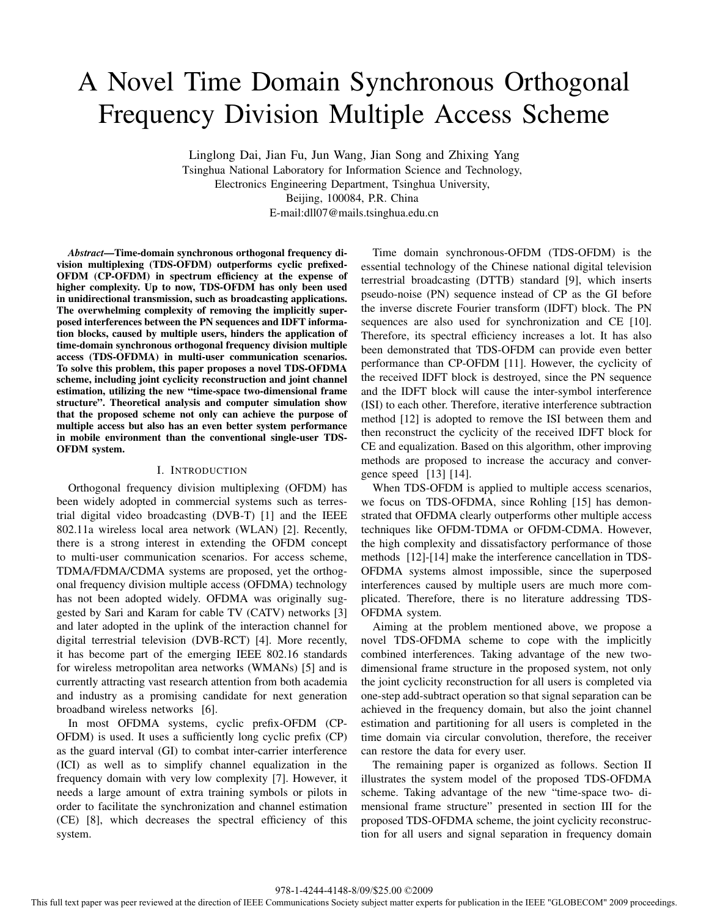# A Novel Time Domain Synchronous Orthogonal Frequency Division Multiple Access Scheme

Linglong Dai, Jian Fu, Jun Wang, Jian Song and Zhixing Yang Tsinghua National Laboratory for Information Science and Technology, Electronics Engineering Department, Tsinghua University, Beijing, 100084, P.R. China E-mail:dll07@mails.tsinghua.edu.cn

*Abstract***—Time-domain synchronous orthogonal frequency division multiplexing (TDS-OFDM) outperforms cyclic prefixed-OFDM (CP-OFDM) in spectrum efficiency at the expense of higher complexity. Up to now, TDS-OFDM has only been used in unidirectional transmission, such as broadcasting applications. The overwhelming complexity of removing the implicitly superposed interferences between the PN sequences and IDFT information blocks, caused by multiple users, hinders the application of time-domain synchronous orthogonal frequency division multiple access (TDS-OFDMA) in multi-user communication scenarios. To solve this problem, this paper proposes a novel TDS-OFDMA scheme, including joint cyclicity reconstruction and joint channel estimation, utilizing the new "time-space two-dimensional frame structure". Theoretical analysis and computer simulation show that the proposed scheme not only can achieve the purpose of multiple access but also has an even better system performance in mobile environment than the conventional single-user TDS-OFDM system.**

# I. INTRODUCTION

Orthogonal frequency division multiplexing (OFDM) has been widely adopted in commercial systems such as terrestrial digital video broadcasting (DVB-T) [1] and the IEEE 802.11a wireless local area network (WLAN) [2]. Recently, there is a strong interest in extending the OFDM concept to multi-user communication scenarios. For access scheme, TDMA/FDMA/CDMA systems are proposed, yet the orthogonal frequency division multiple access (OFDMA) technology has not been adopted widely. OFDMA was originally suggested by Sari and Karam for cable TV (CATV) networks [3] and later adopted in the uplink of the interaction channel for digital terrestrial television (DVB-RCT) [4]. More recently, it has become part of the emerging IEEE 802.16 standards for wireless metropolitan area networks (WMANs) [5] and is currently attracting vast research attention from both academia and industry as a promising candidate for next generation broadband wireless networks [6].

In most OFDMA systems, cyclic prefix-OFDM (CP-OFDM) is used. It uses a sufficiently long cyclic prefix (CP) as the guard interval (GI) to combat inter-carrier interference (ICI) as well as to simplify channel equalization in the frequency domain with very low complexity [7]. However, it needs a large amount of extra training symbols or pilots in order to facilitate the synchronization and channel estimation (CE) [8], which decreases the spectral efficiency of this system.

Time domain synchronous-OFDM (TDS-OFDM) is the essential technology of the Chinese national digital television terrestrial broadcasting (DTTB) standard [9], which inserts pseudo-noise (PN) sequence instead of CP as the GI before the inverse discrete Fourier transform (IDFT) block. The PN sequences are also used for synchronization and CE [10]. Therefore, its spectral efficiency increases a lot. It has also been demonstrated that TDS-OFDM can provide even better performance than CP-OFDM [11]. However, the cyclicity of the received IDFT block is destroyed, since the PN sequence and the IDFT block will cause the inter-symbol interference (ISI) to each other. Therefore, iterative interference subtraction method [12] is adopted to remove the ISI between them and then reconstruct the cyclicity of the received IDFT block for CE and equalization. Based on this algorithm, other improving methods are proposed to increase the accuracy and convergence speed [13] [14].

When TDS-OFDM is applied to multiple access scenarios, we focus on TDS-OFDMA, since Rohling [15] has demonstrated that OFDMA clearly outperforms other multiple access techniques like OFDM-TDMA or OFDM-CDMA. However, the high complexity and dissatisfactory performance of those methods [12]-[14] make the interference cancellation in TDS-OFDMA systems almost impossible, since the superposed interferences caused by multiple users are much more complicated. Therefore, there is no literature addressing TDS-OFDMA system.

Aiming at the problem mentioned above, we propose a novel TDS-OFDMA scheme to cope with the implicitly combined interferences. Taking advantage of the new twodimensional frame structure in the proposed system, not only the joint cyclicity reconstruction for all users is completed via one-step add-subtract operation so that signal separation can be achieved in the frequency domain, but also the joint channel estimation and partitioning for all users is completed in the time domain via circular convolution, therefore, the receiver can restore the data for every user.

The remaining paper is organized as follows. Section II illustrates the system model of the proposed TDS-OFDMA scheme. Taking advantage of the new "time-space two- dimensional frame structure" presented in section III for the proposed TDS-OFDMA scheme, the joint cyclicity reconstruction for all users and signal separation in frequency domain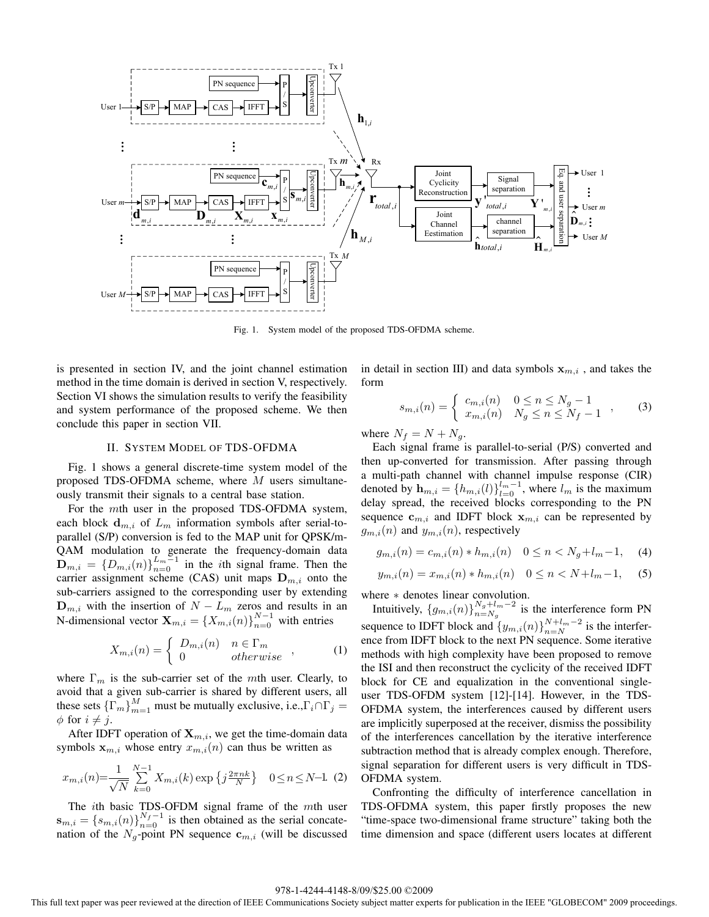

Fig. 1. System model of the proposed TDS-OFDMA scheme.

is presented in section IV, and the joint channel estimation method in the time domain is derived in section V, respectively. Section VI shows the simulation results to verify the feasibility and system performance of the proposed scheme. We then conclude this paper in section VII.

#### II. SYSTEM MODEL OF TDS-OFDMA

Fig. 1 shows a general discrete-time system model of the proposed TDS-OFDMA scheme, where  $M$  users simultaneously transmit their signals to a central base station.

For the mth user in the proposed TDS-OFDMA system, each block  $\mathbf{d}_{m,i}$  of  $L_m$  information symbols after serial-toparallel (S/P) conversion is fed to the MAP unit for QPSK/m-QAM modulation to generate the frequency-domain data  $\mathbf{D}_{m,i} = \{D_{m,i}(n)\}_{n=0}^{L_m-1}$  in the *i*th signal frame. Then the carrier assignment scheme (CAS) unit maps  $\mathbf{D}$  and the carrier assignment scheme (CAS) unit maps  $D_{m,i}$  onto the sub-carriers assigned to the corresponding user by extending  $\mathbf{D}_{m,i}$  with the insertion of  $N - L_m$  zeros and results in an  $\mathbf{N}$  dimensional vector  $\mathbf{Y}_{m,i} = \{X_{m,i}(n)\}^{N-1}$  with entries N-dimensional vector  $\mathbf{X}_{m,i} = \{X_{m,i}(n)\}_{n=0}^{N-1}$  with entries

$$
X_{m,i}(n) = \begin{cases} D_{m,i}(n) & n \in \Gamma_m \\ 0 & otherwise \end{cases}
$$
 (1)

where  $\Gamma_m$  is the sub-carrier set of the mth user. Clearly, to avoid that a given sub-carrier is shared by different users, all these sets  $\{\Gamma_m\}_{m=1}^M$  must be mutually exclusive, i.e.,  $\Gamma_i \cap \Gamma_j = \emptyset$  for  $i \neq i$  $\phi$  for  $i \neq j$ .

After IDFT operation of  $\mathbf{X}_{m,i}$ , we get the time-domain data symbols  $x_{m,i}$  whose entry  $x_{m,i}(n)$  can thus be written as

$$
x_{m,i}(n) = \frac{1}{\sqrt{N}} \sum_{k=0}^{N-1} X_{m,i}(k) \exp\left\{j\frac{2\pi nk}{N}\right\} \quad 0 \le n \le N-1. \tag{2}
$$

The *i*th basic TDS-OFDM signal frame of the *mth* user<br> $I = \int g_1(p) 1^{N_f-1}$  is then obtained as the serial concate- $\mathbf{s}_{m,i} = \{s_{m,i}(n)\}_{n=0}^{N_f-1}$  is then obtained as the serial concate-<br>nation of the N<sub>-point</sub> PN sequence  $\mathbf{c}_{m,i}$  (will be discussed nation of the  $N_g$ -point PN sequence  $\mathbf{c}_{m,i}$  (will be discussed in detail in section III) and data symbols  $x_{m,i}$ , and takes the form

$$
s_{m,i}(n) = \begin{cases} c_{m,i}(n) & 0 \le n \le N_g - 1 \\ x_{m,i}(n) & N_g \le n \le N_f - 1 \end{cases}
$$
 (3)

where  $N_f = N + N_g$ .

Each signal frame is parallel-to-serial (P/S) converted and then up-converted for transmission. After passing through a multi-path channel with channel impulse response (CIR) denoted by  $\mathbf{h}_{m,i} = \{h_{m,i}(l)\}_{l=0}^{l_m-1}$ , where  $l_m$  is the maximum delay spread, the received blocks corresponding to the PN delay spread, the received blocks corresponding to the PN sequence  $\mathbf{c}_{m,i}$  and IDFT block  $\mathbf{x}_{m,i}$  can be represented by  $g_{m,i}(n)$  and  $y_{m,i}(n)$ , respectively

$$
g_{m,i}(n) = c_{m,i}(n) * h_{m,i}(n) \quad 0 \le n < N_g + l_m - 1,\tag{4}
$$

$$
y_{m,i}(n) = x_{m,i}(n) * h_{m,i}(n) \quad 0 \le n < N + l_m - 1,\tag{5}
$$

where  $*$  denotes linear convolution.

Intuitively,  $\{g_{m,i}(n)\}_{n=N_g}^{N_g+l_m-2}$  is the interference form PN sequence to IDFT block and  $\{y_{m,i}(n)\}_{n=N}^{N+l_m-2}$  is the interfer-<br>ence from IDFT block to the next PN sequence. Some iterative ence from IDFT block to the next PN sequence. Some iterative methods with high complexity have been proposed to remove the ISI and then reconstruct the cyclicity of the received IDFT block for CE and equalization in the conventional singleuser TDS-OFDM system [12]-[14]. However, in the TDS-OFDMA system, the interferences caused by different users are implicitly superposed at the receiver, dismiss the possibility of the interferences cancellation by the iterative interference subtraction method that is already complex enough. Therefore, signal separation for different users is very difficult in TDS-OFDMA system.

Confronting the difficulty of interference cancellation in TDS-OFDMA system, this paper firstly proposes the new "time-space two-dimensional frame structure" taking both the time dimension and space (different users locates at different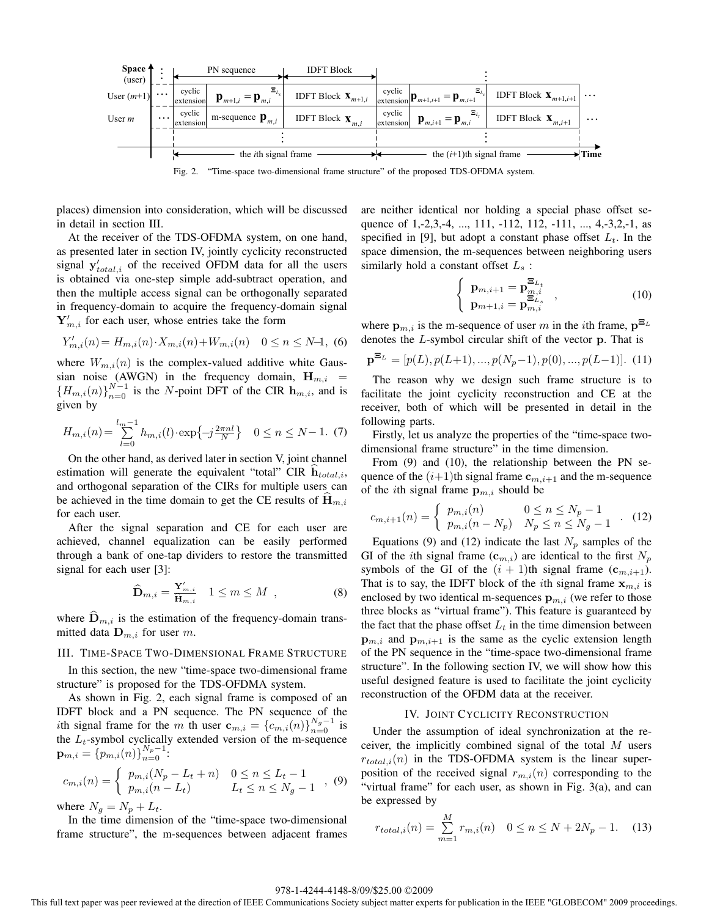

Fig. 2. "Time-space two-dimensional frame structure" of the proposed TDS-OFDMA system.

places) dimension into consideration, which will be discussed in detail in section III.

At the receiver of the TDS-OFDMA system, on one hand, as presented later in section IV, jointly cyclicity reconstructed signal  $\mathbf{y}'_{total,i}$  of the received OFDM data for all the users<br>is obtained via one-step simple add-subtract operation, and is obtained via one-step simple add-subtract operation, and then the multiple access signal can be orthogonally separated in frequency-domain to acquire the frequency-domain signal  $Y'_{m,i}$  for each user, whose entries take the form

$$
Y'_{m,i}(n) = H_{m,i}(n) \cdot X_{m,i}(n) + W_{m,i}(n) \quad 0 \le n \le N-1,\tag{6}
$$

where  $W_{m,i}(n)$  is the complex-valued additive white Gaussian noise (AWGN) in the frequency domain,  $H_{m,i}$  =  ${H_{m,i}(n)}_{n=0}^{N-1}$  is the N-point DFT of the CIR  $\mathbf{h}_{m,i}$ , and is given by given by

$$
H_{m,i}(n) = \sum_{l=0}^{l_m-1} h_{m,i}(l) \cdot \exp\left\{-j\frac{2\pi nl}{N}\right\} \quad 0 \le n \le N-1. \tag{7}
$$

On the other hand, as derived later in section V, joint channel estimation will generate the equivalent "total" CIR  $\mathbf{h}_{total,i}$ , and orthogonal separation of the CIRs for multiple users can be achieved in the time domain to get the CE results of  $\mathbf{H}_{m,i}$ for each user.

After the signal separation and CE for each user are achieved, channel equalization can be easily performed through a bank of one-tap dividers to restore the transmitted signal for each user [3]:

$$
\widehat{\mathbf{D}}_{m,i} = \frac{\mathbf{Y}'_{m,i}}{\widehat{\mathbf{H}}_{m,i}} \quad 1 \le m \le M \quad , \tag{8}
$$

where  $\mathbf{D}_{m,i}$  is the estimation of the frequency-domain transmitted data  $\mathbf{D}_{m,i}$  for user m.

#### III. TIME-SPACE TWO-DIMENSIONAL FRAME STRUCTURE

In this section, the new "time-space two-dimensional frame structure" is proposed for the TDS-OFDMA system.

As shown in Fig. 2, each signal frame is composed of an IDFT block and a PN sequence. The PN sequence of the ith signal frame for the m th user  $\mathbf{c}_{m,i} = \{c_{m,i}(n)\}_{n=0}^{N_g-1}$  is<br>the L<sub>u-symbol</sub> cyclically extended version of the m-sequence the  $L_t$ -symbol cyclically extended version of the m-sequence  $\mathbf{p}_{m,i} = \{p_{m,i}(n)\}_{n=0}^{N_p-1}$ :

$$
c_{m,i}(n) = \begin{cases} p_{m,i}(N_p - L_t + n) & 0 \le n \le L_t - 1 \\ p_{m,i}(n - L_t) & L_t \le n \le N_g - 1 \end{cases}
$$
, (9)

where  $N_g = N_p + L_t$ .

In the time dimension of the "time-space two-dimensional frame structure", the m-sequences between adjacent frames are neither identical nor holding a special phase offset sequence of 1,-2,3,-4, ..., 111, -112, 112, -111, ..., 4,-3,2,-1, as specified in [9], but adopt a constant phase offset  $L_t$ . In the space dimension, the m-sequences between neighboring users similarly hold a constant offset  $L_s$ :

$$
\begin{cases}\n\mathbf{p}_{m,i+1} = \mathbf{p}_{m,i}^{\Xi_{L_t}} \\
\mathbf{p}_{m+1,i} = \mathbf{p}_{m,i}^{\Xi_{L_s}}\n\end{cases}
$$
\n(10)

where  $\mathbf{p}_{m,i}$  is the m-sequence of user m in the *i*th frame,  $\mathbf{p}^{\Xi_L}$ denotes the L-symbol circular shift of the vector **<sup>p</sup>**. That is

$$
\mathbf{p}^{\Xi_L} = [p(L), p(L+1), ..., p(N_p-1), p(0), ..., p(L-1)]. \tag{11}
$$

The reason why we design such frame structure is to facilitate the joint cyclicity reconstruction and CE at the receiver, both of which will be presented in detail in the following parts.

Firstly, let us analyze the properties of the "time-space twodimensional frame structure" in the time dimension.

From (9) and (10), the relationship between the PN sequence of the  $(i+1)$ th signal frame  $c_{m,i+1}$  and the m-sequence of the *i*th signal frame  $\mathbf{p}_{m,i}$  should be

$$
c_{m,i+1}(n) = \begin{cases} p_{m,i}(n) & 0 \le n \le N_p - 1 \\ p_{m,i}(n - N_p) & N_p \le n \le N_g - 1 \end{cases} . (12)
$$

Equations (9) and (12) indicate the last  $N_p$  samples of the GI of the *i*th signal frame  $(c_{m,i})$  are identical to the first  $N_p$ symbols of the GI of the  $(i + 1)$ th signal frame  $(c_{m,i+1})$ . That is to say, the IDFT block of the *i*th signal frame  $x_{m,i}$  is enclosed by two identical m-sequences  $\mathbf{p}_{m,i}$  (we refer to those three blocks as "virtual frame"). This feature is guaranteed by the fact that the phase offset  $L_t$  in the time dimension between  $\mathbf{p}_{m,i}$  and  $\mathbf{p}_{m,i+1}$  is the same as the cyclic extension length  $\epsilon$  the DN convenience in the "time gross two dimensional frame of the PN sequence in the "time-space two-dimensional frame structure". In the following section IV, we will show how this useful designed feature is used to facilitate the joint cyclicity reconstruction of the OFDM data at the receiver.

#### IV. JOINT CYCLICITY RECONSTRUCTION

Under the assumption of ideal synchronization at the receiver, the implicitly combined signal of the total  $M$  users  $r_{total,i}(n)$  in the TDS-OFDMA system is the linear superposition of the received signal  $r_{m,i}(n)$  corresponding to the "virtual frame" for each user, as shown in Fig. 3(a), and can be expressed by

$$
r_{total,i}(n) = \sum_{m=1}^{M} r_{m,i}(n) \quad 0 \le n \le N + 2N_p - 1. \tag{13}
$$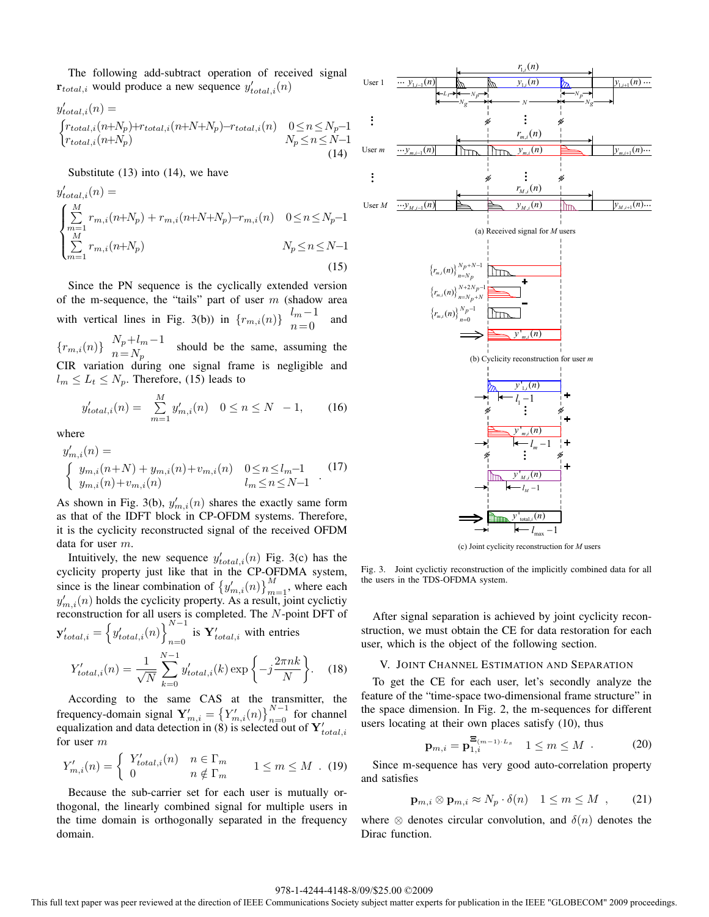The following add-subtract operation of received signal  $\mathbf{r}_{total,i}$  would produce a new sequence  $y'_{total,i}(n)$ 

$$
y'_{total,i}(n) =
$$
  
\n
$$
\begin{cases}\nr_{total,i}(n+N_p)+r_{total,i}(n+N+N_p)-r_{total,i}(n) & 0 \le n \le N_p-1 \\
r_{total,i}(n+N_p) & N_p \le n \le N-1\n\end{cases}
$$
\n(14)

Substitute  $(13)$  into  $(14)$ , we have

$$
y'_{total,i}(n) = \begin{cases} \sum_{m=1}^{M} r_{m,i}(n+N_p) + r_{m,i}(n+N+N_p) - r_{m,i}(n) & 0 \le n \le N_p - 1\\ \sum_{m=1}^{M} r_{m,i}(n+N_p) & N_p \le n \le N - 1 \end{cases}
$$
(15)

Since the PN sequence is the cyclically extended version of the m-sequence, the "tails" part of user m (shadow area<br>with vertical lines in Fig. 3(b)) in  $\{r_{m,i}(n)\}\begin{bmatrix} l_m-1 \\ 0 \end{bmatrix}$  and with vertical lines in Fig. 3(b)) in  $\{r_{m,i}(n)\}\begin{cases} l_m-1 \\ n=0 \end{cases}$  and  $N+l=1$ 

 ${r_{m,i}(n)}$   $N_p+l_m-1$  should be the same, assuming the<br>CIR variation during one signal frame is negligible and CIR variation during one signal frame is negligible and  $l_m \leq L_t \leq N_p$ . Therefore, (15) leads to

$$
y'_{total,i}(n) = \sum_{m=1}^{M} y'_{m,i}(n) \quad 0 \le n \le N - 1,\tag{16}
$$

where

$$
y'_{m,i}(n) =
$$
  
\n
$$
\begin{cases}\ny_{m,i}(n+N) + y_{m,i}(n) + v_{m,i}(n) & 0 \le n \le l_m - 1 \\
y_{m,i}(n) + v_{m,i}(n) & l_m \le n \le N - 1\n\end{cases}
$$
 (17)

As shown in Fig. 3(b),  $y'_{m,i}(n)$  shares the exactly same form<br>as that of the IDET block in CP-OEDM systems. Therefore as that of the IDFT block in CP-OFDM systems. Therefore, it is the cyclicity reconstructed signal of the received OFDM data for user m.

Intuitively, the new sequence  $y'_{total,i}(n)$  Fig. 3(c) has the clicity property just like that in the CP-OFDMA system cyclicity property just like that in the CP-OFDMA system, since is the linear combination of  $\left\{y'_{m,i}(n)\right\}_{m=1}^{M}$ , where each  $y'_{n-1}(n)$  holds the evelicity property. As a result, joint evelicity  $y'_{m,i}(n)$  holds the cyclicity property. As a result, joint cyclicity<br>reconstruction for all users is completed. The N-point DET of reconstruction for all users is completed. The *N*-point DFT of  $\mathbf{y}'_{total,i} = \left\{ y'_{total,i}(n) \right\}_{n=0}^{N-1}$  is  $\mathbf{Y}'_{total,i}$  with entries is  $Y'_{total,i}$  with entries

$$
Y'_{total,i}(n) = \frac{1}{\sqrt{N}} \sum_{k=0}^{N-1} y'_{total,i}(k) \exp\left\{-j\frac{2\pi nk}{N}\right\}.
$$
 (18)

According to the same CAS at the transmitter, the frequency-domain signal  $\mathbf{Y}'_{m,i} = \left\{ Y'_{m,i}(n) \right\}_{n=0}^{N-1}$  for channel<br>equalization and data detection in (8) is selected out of  $\mathbf{Y}'_{total,i}$ <br>for user m for user m

$$
Y'_{m,i}(n) = \begin{cases} Y'_{total,i}(n) & n \in \Gamma_m \\ 0 & n \notin \Gamma_m \end{cases} \quad 1 \le m \le M \quad (19)
$$

Because the sub-carrier set for each user is mutually orthogonal, the linearly combined signal for multiple users in the time domain is orthogonally separated in the frequency domain.



(c) Joint cyclicity reconstruction for *M* users

Fig. 3. Joint cyclictiy reconstruction of the implicitly combined data for all the users in the TDS-OFDMA system.

After signal separation is achieved by joint cyclicity reconstruction, we must obtain the CE for data restoration for each user, which is the object of the following section.

#### V. JOINT CHANNEL ESTIMATION AND SEPARATION

To get the CE for each user, let's secondly analyze the feature of the "time-space two-dimensional frame structure" in the space dimension. In Fig. 2, the m-sequences for different users locating at their own places satisfy (10), thus

$$
\mathbf{p}_{m,i} = \mathbf{p}_{1,i}^{\Xi_{(m-1)\cdot L_s}} \quad 1 \le m \le M \quad . \tag{20}
$$

Since m-sequence has very good auto-correlation property and satisfies

$$
\mathbf{p}_{m,i} \otimes \mathbf{p}_{m,i} \approx N_p \cdot \delta(n) \quad 1 \le m \le M \quad , \tag{21}
$$

where  $\otimes$  denotes circular convolution, and  $\delta(n)$  denotes the Dirac function.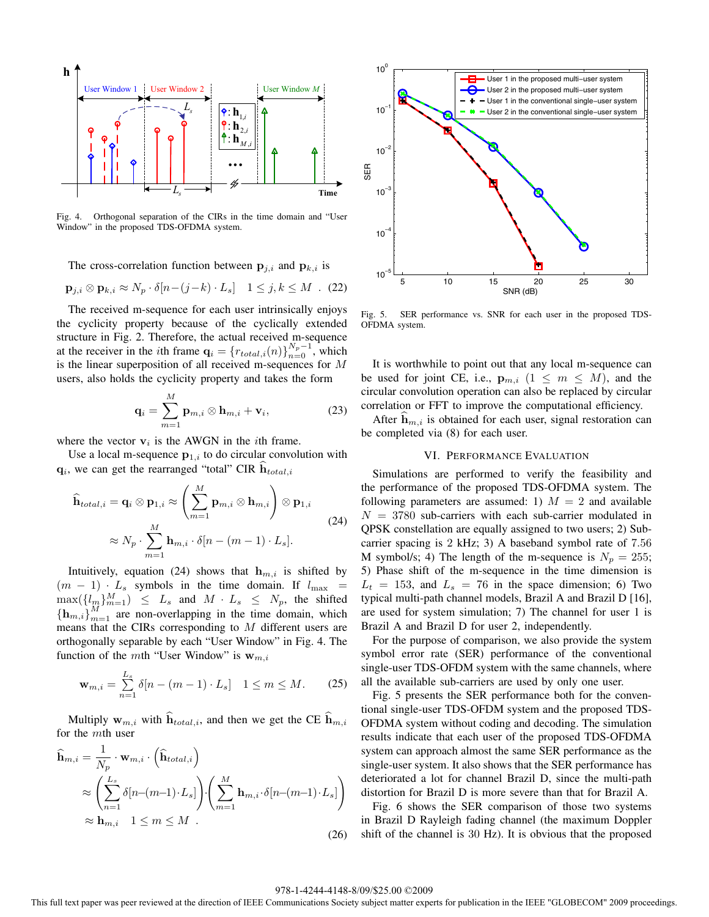

Fig. 4. Orthogonal separation of the CIRs in the time domain and "User Window" in the proposed TDS-OFDMA system.

The cross-correlation function between  $\mathbf{p}_{i,i}$  and  $\mathbf{p}_{k,i}$  is

$$
\mathbf{p}_{j,i} \otimes \mathbf{p}_{k,i} \approx N_p \cdot \delta[n-(j-k)\cdot L_s] \quad 1 \leq j,k \leq M \quad (22)
$$

The received m-sequence for each user intrinsically enjoys the cyclicity property because of the cyclically extended structure in Fig. 2. Therefore, the actual received m-sequence at the receiver in the *i*th frame  $\mathbf{q}_i = \{r_{total,i}(n)\}_{n=0}^{N_p-1}$ , which is the linear superposition of all received m-sequences for *M* is the linear superposition of all received m-sequences for M users, also holds the cyclicity property and takes the form

$$
\mathbf{q}_i = \sum_{m=1}^{M} \mathbf{p}_{m,i} \otimes \mathbf{h}_{m,i} + \mathbf{v}_i,
$$
 (23)

where the vector  $v_i$  is the AWGN in the *i*th frame.

Use a local m-sequence  $p_{1,i}$  to do circular convolution with  $\mathbf{q}_i$ , we can get the rearranged "total" CIR  $\hat{\mathbf{h}}_{total,i}$ 

$$
\widehat{\mathbf{h}}_{total,i} = \mathbf{q}_i \otimes \mathbf{p}_{1,i} \approx \left(\sum_{m=1}^{M} \mathbf{p}_{m,i} \otimes \mathbf{h}_{m,i}\right) \otimes \mathbf{p}_{1,i}
$$
\n
$$
\approx N_p \cdot \sum_{m=1}^{M} \mathbf{h}_{m,i} \cdot \delta[n - (m-1) \cdot L_s].
$$
\n(24)

Intuitively, equation (24) shows that  $h_{m,i}$  is shifted by  $(m - 1) \cdot L_s$  symbols in the time domain. If  $l_{\text{max}}$  =  $\max({l_m}_{m=1}^M) \leq L_s$  and  $M \cdot L_s \leq N_p$ , the shifted  $\{h \mid \lambda^M\}$  are non-overlapping in the time domain, which  ${\{\mathbf h_{m,i}\}}_{m=1}^M$  are non-overlapping in the time domain, which means that the CIRs corresponding to M different users are means that the CIRs corresponding to M different users are orthogonally separable by each "User Window" in Fig. 4. The function of the mth "User Window" is  $w_{m,i}$ 

$$
\mathbf{w}_{m,i} = \sum_{n=1}^{L_s} \delta[n - (m-1) \cdot L_s] \quad 1 \le m \le M. \tag{25}
$$

Multiply  $\mathbf{w}_{m,i}$  with  $\widehat{\mathbf{h}}_{total,i}$ , and then we get the CE  $\widehat{\mathbf{h}}_{m,i}$ for the mth user

$$
\widehat{\mathbf{h}}_{m,i} = \frac{1}{N_p} \cdot \mathbf{w}_{m,i} \cdot \left( \widehat{\mathbf{h}}_{total,i} \right)
$$
\n
$$
\approx \left( \sum_{n=1}^{L_s} \delta[n - (m-1) \cdot L_s] \right) \cdot \left( \sum_{m=1}^{M} \mathbf{h}_{m,i} \cdot \delta[n - (m-1) \cdot L_s] \right)
$$
\n
$$
\approx \mathbf{h}_{m,i} \quad 1 \le m \le M \quad .
$$
\n(26)



Fig. 5. SER performance vs. SNR for each user in the proposed TDS-OFDMA system.

It is worthwhile to point out that any local m-sequence can be used for joint CE, i.e.,  $\mathbf{p}_{m,i}$  ( $1 \leq m \leq M$ ), and the circular convolution operation can also be replaced by circular correlation or FFT to improve the computational efficiency.

After  $h_{m,i}$  is obtained for each user, signal restoration can be completed via (8) for each user.

## VI. PERFORMANCE EVALUATION

Simulations are performed to verify the feasibility and the performance of the proposed TDS-OFDMA system. The following parameters are assumed: 1)  $M = 2$  and available  $N = 3780$  sub-carriers with each sub-carrier modulated in QPSK constellation are equally assigned to two users; 2) Subcarrier spacing is <sup>2</sup> kHz; 3) A baseband symbol rate of <sup>7</sup>.<sup>56</sup> M symbol/s; 4) The length of the m-sequence is  $N_p = 255$ ; 5) Phase shift of the m-sequence in the time dimension is  $L_t = 153$ , and  $L_s = 76$  in the space dimension; 6) Two typical multi-path channel models, Brazil A and Brazil D [16], are used for system simulation; 7) The channel for user 1 is Brazil A and Brazil D for user 2, independently.

For the purpose of comparison, we also provide the system symbol error rate (SER) performance of the conventional single-user TDS-OFDM system with the same channels, where all the available sub-carriers are used by only one user.

Fig. 5 presents the SER performance both for the conventional single-user TDS-OFDM system and the proposed TDS-OFDMA system without coding and decoding. The simulation results indicate that each user of the proposed TDS-OFDMA system can approach almost the same SER performance as the single-user system. It also shows that the SER performance has deteriorated a lot for channel Brazil D, since the multi-path distortion for Brazil D is more severe than that for Brazil A.

Fig. 6 shows the SER comparison of those two systems in Brazil D Rayleigh fading channel (the maximum Doppler shift of the channel is 30 Hz). It is obvious that the proposed